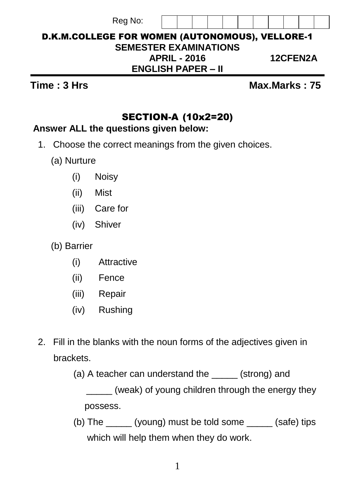| <b>D.K.M.COLLEGE FOR WOMEN (AUTONOMOUS), VELLORE-1</b> |                     |  |  |  |  |                 |  |
|--------------------------------------------------------|---------------------|--|--|--|--|-----------------|--|
| <b>SEMESTER EXAMINATIONS</b>                           |                     |  |  |  |  |                 |  |
|                                                        | <b>APRIL - 2016</b> |  |  |  |  | <b>12CFEN2A</b> |  |
| <b>ENGLISH PAPER – II</b>                              |                     |  |  |  |  |                 |  |

**Time : 3 Hrs Max.Marks : 75** 

# SECTION-A (10x2=20)

## **Answer ALL the questions given below:**

Reg No:

- 1. Choose the correct meanings from the given choices.
	- (a) Nurture
		- (i) Noisy
		- (ii) Mist
		- (iii) Care for
		- (iv) Shiver
	- (b) Barrier
		- (i) Attractive
		- (ii) Fence
		- (iii) Repair
		- (iv) Rushing
- 2. Fill in the blanks with the noun forms of the adjectives given in brackets.

(a) A teacher can understand the (strong) and

 \_\_\_\_\_ (weak) of young children through the energy they possess.

 (b) The \_\_\_\_\_ (young) must be told some \_\_\_\_\_ (safe) tips which will help them when they do work.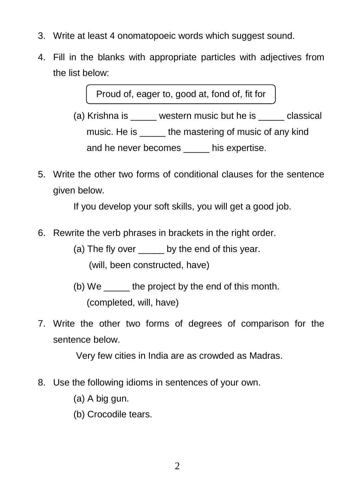- 3. Write at least 4 onomatopoeic words which suggest sound.
- 4. Fill in the blanks with appropriate particles with adjectives from the list below:

Proud of, eager to, good at, fond of, fit for

- (a) Krishna is western music but he is classical music. He is the mastering of music of any kind and he never becomes his expertise.
- 5. Write the other two forms of conditional clauses for the sentence given below.

If you develop your soft skills, you will get a good job.

- 6. Rewrite the verb phrases in brackets in the right order.
	- (a) The fly over by the end of this year. (will, been constructed, have)
	- (b) We the project by the end of this month. (completed, will, have)
- 7. Write the other two forms of degrees of comparison for the sentence below.

Very few cities in India are as crowded as Madras.

- 8. Use the following idioms in sentences of your own.
	- (a) A big gun.
	- (b) Crocodile tears.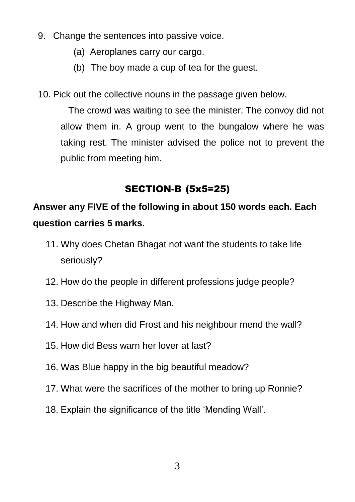- 9. Change the sentences into passive voice.
	- (a) Aeroplanes carry our cargo.
	- (b) The boy made a cup of tea for the guest.
- 10. Pick out the collective nouns in the passage given below.

The crowd was waiting to see the minister. The convoy did not allow them in. A group went to the bungalow where he was taking rest. The minister advised the police not to prevent the public from meeting him.

# SECTION-B (5x5=25)

# **Answer any FIVE of the following in about 150 words each. Each question carries 5 marks.**

- 11. Why does Chetan Bhagat not want the students to take life seriously?
- 12. How do the people in different professions judge people?
- 13. Describe the Highway Man.
- 14. How and when did Frost and his neighbour mend the wall?
- 15. How did Bess warn her lover at last?
- 16. Was Blue happy in the big beautiful meadow?
- 17. What were the sacrifices of the mother to bring up Ronnie?
- 18. Explain the significance of the title "Mending Wall".